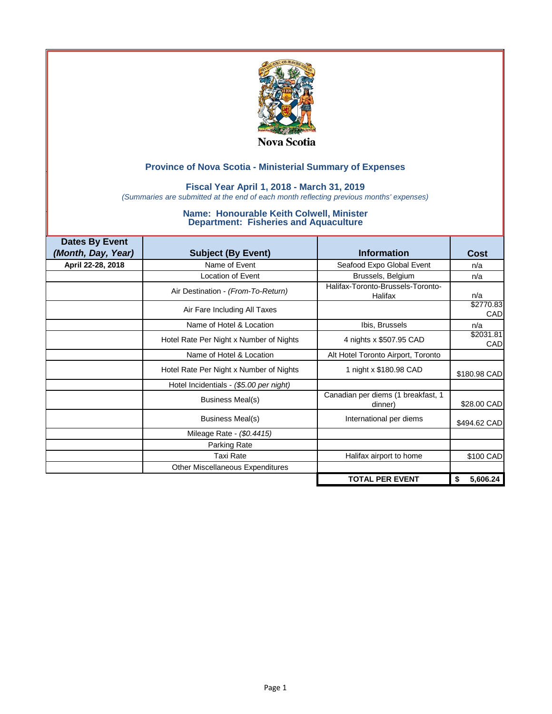

### **Fiscal Year April 1, 2018 - March 31, 2019**

*(Summaries are submitted at the end of each month reflecting previous months' expenses)*

| <b>Dates By Event</b> |                                         |                                               |                  |
|-----------------------|-----------------------------------------|-----------------------------------------------|------------------|
| (Month, Day, Year)    | <b>Subject (By Event)</b>               | <b>Information</b>                            | <b>Cost</b>      |
| April 22-28, 2018     | Name of Event                           | Seafood Expo Global Event                     | n/a              |
|                       | <b>Location of Event</b>                | Brussels, Belgium                             | n/a              |
|                       | Air Destination - (From-To-Return)      | Halifax-Toronto-Brussels-Toronto-<br>Halifax  | n/a              |
|                       | Air Fare Including All Taxes            |                                               | \$2770.83<br>CAD |
|                       | Name of Hotel & Location                | Ibis, Brussels                                | n/a              |
|                       | Hotel Rate Per Night x Number of Nights | 4 nights x \$507.95 CAD                       | \$2031.81<br>CAD |
|                       | Name of Hotel & Location                | Alt Hotel Toronto Airport, Toronto            |                  |
|                       | Hotel Rate Per Night x Number of Nights | 1 night x \$180.98 CAD                        | \$180.98 CAD     |
|                       | Hotel Incidentials - (\$5.00 per night) |                                               |                  |
|                       | Business Meal(s)                        | Canadian per diems (1 breakfast, 1<br>dinner) | \$28.00 CAD      |
|                       | Business Meal(s)                        | International per diems                       | \$494.62 CAD     |
|                       | Mileage Rate - (\$0.4415)               |                                               |                  |
|                       | Parking Rate                            |                                               |                  |
|                       | <b>Taxi Rate</b>                        | Halifax airport to home                       | \$100 CAD        |
|                       | Other Miscellaneous Expenditures        |                                               |                  |
|                       |                                         | <b>TOTAL PER EVENT</b>                        | 5,606.24<br>\$   |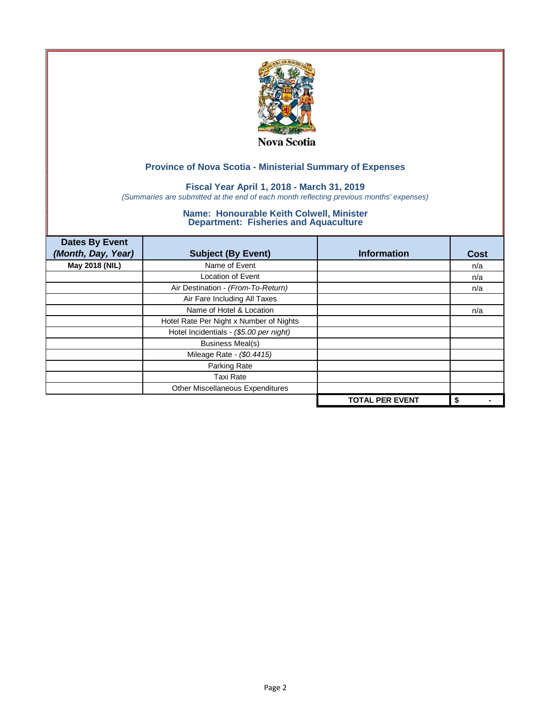

### **Fiscal Year April 1, 2018 - March 31, 2019**

*(Summaries are submitted at the end of each month reflecting previous months' expenses)*

| <b>Dates By Event</b> |                                         |                        |             |
|-----------------------|-----------------------------------------|------------------------|-------------|
| (Month, Day, Year)    | <b>Subject (By Event)</b>               | <b>Information</b>     | <b>Cost</b> |
| May 2018 (NIL)        | Name of Event                           |                        | n/a         |
|                       | <b>Location of Event</b>                |                        | n/a         |
|                       | Air Destination - (From-To-Return)      |                        | n/a         |
|                       | Air Fare Including All Taxes            |                        |             |
|                       | Name of Hotel & Location                |                        | n/a         |
|                       | Hotel Rate Per Night x Number of Nights |                        |             |
|                       | Hotel Incidentials - (\$5.00 per night) |                        |             |
|                       | <b>Business Meal(s)</b>                 |                        |             |
|                       | Mileage Rate - (\$0.4415)               |                        |             |
|                       | Parking Rate                            |                        |             |
|                       | <b>Taxi Rate</b>                        |                        |             |
|                       | Other Miscellaneous Expenditures        |                        |             |
|                       |                                         | <b>TOTAL PER EVENT</b> | \$          |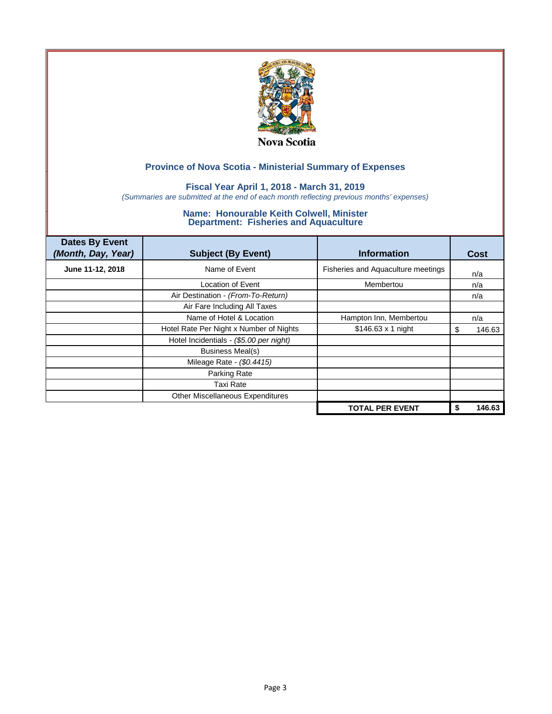

### **Fiscal Year April 1, 2018 - March 31, 2019**

*(Summaries are submitted at the end of each month reflecting previous months' expenses)*

| <b>Dates By Event</b><br>(Month, Day, Year) | <b>Subject (By Event)</b>               | <b>Information</b>                 | Cost         |
|---------------------------------------------|-----------------------------------------|------------------------------------|--------------|
| June 11-12, 2018                            | Name of Event                           | Fisheries and Aquaculture meetings | n/a          |
|                                             | Location of Event                       | Membertou                          | n/a          |
|                                             | Air Destination - (From-To-Return)      |                                    | n/a          |
|                                             | Air Fare Including All Taxes            |                                    |              |
|                                             | Name of Hotel & Location                | Hampton Inn, Membertou             | n/a          |
|                                             | Hotel Rate Per Night x Number of Nights | $$146.63 \times 1$ night           | 146.63<br>S  |
|                                             | Hotel Incidentials - (\$5.00 per night) |                                    |              |
|                                             | Business Meal(s)                        |                                    |              |
|                                             | Mileage Rate - (\$0.4415)               |                                    |              |
|                                             | Parking Rate                            |                                    |              |
|                                             | <b>Taxi Rate</b>                        |                                    |              |
|                                             | Other Miscellaneous Expenditures        |                                    |              |
|                                             |                                         | <b>TOTAL PER EVENT</b>             | 146.63<br>\$ |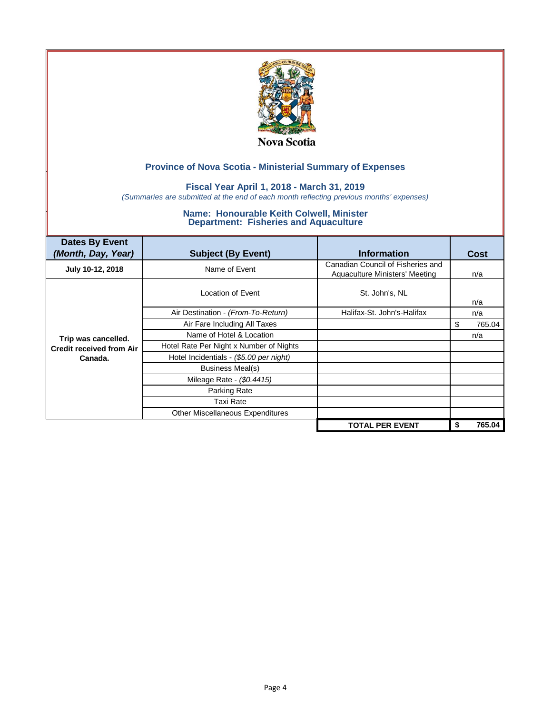

### **Fiscal Year April 1, 2018 - March 31, 2019**

*(Summaries are submitted at the end of each month reflecting previous months' expenses)*

| <b>Dates By Event</b><br>(Month, Day, Year) | <b>Subject (By Event)</b>               | <b>Information</b>                                                  | <b>Cost</b> |
|---------------------------------------------|-----------------------------------------|---------------------------------------------------------------------|-------------|
| July 10-12, 2018                            | Name of Event                           | Canadian Council of Fisheries and<br>Aquaculture Ministers' Meeting | n/a         |
|                                             | Location of Event                       | St. John's, NL                                                      | n/a         |
|                                             | Air Destination - (From-To-Return)      | Halifax-St. John's-Halifax                                          | n/a         |
|                                             | Air Fare Including All Taxes            |                                                                     | 765.04<br>S |
| Trip was cancelled.                         | Name of Hotel & Location                |                                                                     | n/a         |
| <b>Credit received from Air</b>             | Hotel Rate Per Night x Number of Nights |                                                                     |             |
| Canada.                                     | Hotel Incidentials - (\$5.00 per night) |                                                                     |             |
|                                             | Business Meal(s)                        |                                                                     |             |
|                                             | Mileage Rate - (\$0.4415)               |                                                                     |             |
|                                             | Parking Rate                            |                                                                     |             |
|                                             | Taxi Rate                               |                                                                     |             |
|                                             | Other Miscellaneous Expenditures        |                                                                     |             |
|                                             |                                         | <b>TOTAL PER EVENT</b>                                              | 765.04<br>S |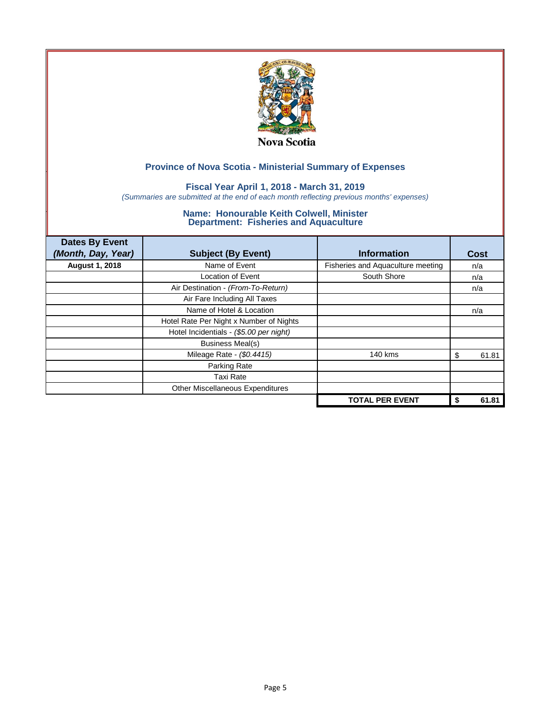

### **Fiscal Year April 1, 2018 - March 31, 2019**

*(Summaries are submitted at the end of each month reflecting previous months' expenses)*

| <b>Dates By Event</b><br>(Month, Day, Year) | <b>Subject (By Event)</b>               | <b>Information</b>                | Cost        |
|---------------------------------------------|-----------------------------------------|-----------------------------------|-------------|
| <b>August 1, 2018</b>                       | Name of Event                           | Fisheries and Aquaculture meeting | n/a         |
|                                             | <b>Location of Event</b>                | South Shore                       | n/a         |
|                                             | Air Destination - (From-To-Return)      |                                   | n/a         |
|                                             | Air Fare Including All Taxes            |                                   |             |
|                                             | Name of Hotel & Location                |                                   | n/a         |
|                                             | Hotel Rate Per Night x Number of Nights |                                   |             |
|                                             | Hotel Incidentials - (\$5.00 per night) |                                   |             |
|                                             | <b>Business Meal(s)</b>                 |                                   |             |
|                                             | Mileage Rate - (\$0.4415)               | 140 kms                           | 61.81<br>S  |
|                                             | Parking Rate                            |                                   |             |
|                                             | Taxi Rate                               |                                   |             |
|                                             | Other Miscellaneous Expenditures        |                                   |             |
|                                             |                                         | <b>TOTAL PER EVENT</b>            | 61.81<br>\$ |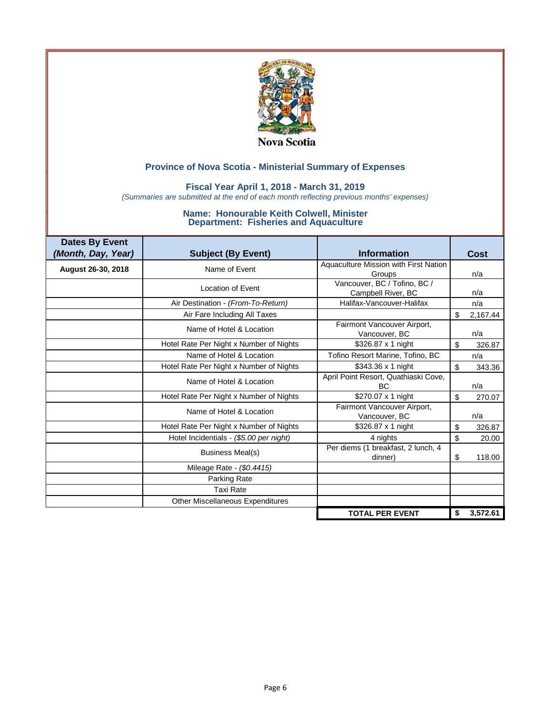

### **Fiscal Year April 1, 2018 - March 31, 2019**

*(Summaries are submitted at the end of each month reflecting previous months' expenses)*

| <b>Dates By Event</b><br>(Month, Day, Year) | <b>Subject (By Event)</b>               | <b>Information</b>                                 | Cost           |
|---------------------------------------------|-----------------------------------------|----------------------------------------------------|----------------|
| August 26-30, 2018                          | Name of Event                           | Aquaculture Mission with First Nation<br>Groups    | n/a            |
|                                             | Location of Event                       | Vancouver, BC / Tofino, BC /<br>Campbell River, BC | n/a            |
|                                             | Air Destination - (From-To-Return)      | Halifax-Vancouver-Halifax                          | n/a            |
|                                             | Air Fare Including All Taxes            |                                                    | \$<br>2,167.44 |
|                                             | Name of Hotel & Location                | Fairmont Vancouver Airport,<br>Vancouver, BC       | n/a            |
|                                             | Hotel Rate Per Night x Number of Nights | \$326.87 x 1 night                                 | \$<br>326.87   |
|                                             | Name of Hotel & Location                | Tofino Resort Marine, Tofino, BC                   | n/a            |
|                                             | Hotel Rate Per Night x Number of Nights | \$343.36 x 1 night                                 | \$<br>343.36   |
|                                             | Name of Hotel & Location                | April Point Resort, Quathiaski Cove,<br>ВC         | n/a            |
|                                             | Hotel Rate Per Night x Number of Nights | \$270.07 x 1 night                                 | \$<br>270.07   |
|                                             | Name of Hotel & Location                | Fairmont Vancouver Airport,<br>Vancouver, BC       | n/a            |
|                                             | Hotel Rate Per Night x Number of Nights | \$326.87 x 1 night                                 | \$<br>326.87   |
|                                             | Hotel Incidentials - (\$5.00 per night) | 4 nights                                           | \$<br>20.00    |
|                                             | <b>Business Meal(s)</b>                 | Per diems (1 breakfast, 2 lunch, 4<br>dinner)      | \$<br>118.00   |
|                                             | Mileage Rate - (\$0.4415)               |                                                    |                |
|                                             | Parking Rate                            |                                                    |                |
|                                             | <b>Taxi Rate</b>                        |                                                    |                |
|                                             | Other Miscellaneous Expenditures        |                                                    |                |
|                                             |                                         | <b>TOTAL PER EVENT</b>                             | \$<br>3,572.61 |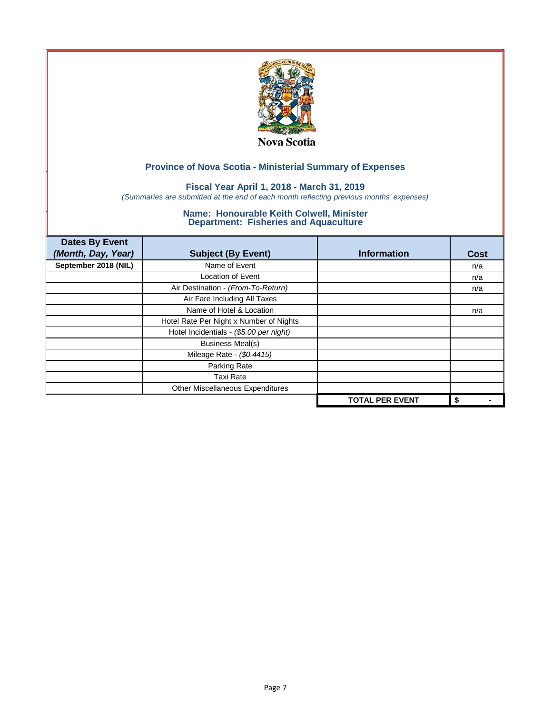

### **Fiscal Year April 1, 2018 - March 31, 2019**

*(Summaries are submitted at the end of each month reflecting previous months' expenses)*

| <b>Dates By Event</b> |                                         |                        |             |
|-----------------------|-----------------------------------------|------------------------|-------------|
| (Month, Day, Year)    | <b>Subject (By Event)</b>               | <b>Information</b>     | <b>Cost</b> |
| September 2018 (NIL)  | Name of Event                           |                        | n/a         |
|                       | <b>Location of Event</b>                |                        | n/a         |
|                       | Air Destination - (From-To-Return)      |                        | n/a         |
|                       | Air Fare Including All Taxes            |                        |             |
|                       | Name of Hotel & Location                |                        | n/a         |
|                       | Hotel Rate Per Night x Number of Nights |                        |             |
|                       | Hotel Incidentials - (\$5.00 per night) |                        |             |
|                       | <b>Business Meal(s)</b>                 |                        |             |
|                       | Mileage Rate - (\$0.4415)               |                        |             |
|                       | Parking Rate                            |                        |             |
|                       | Taxi Rate                               |                        |             |
|                       | Other Miscellaneous Expenditures        |                        |             |
|                       |                                         | <b>TOTAL PER EVENT</b> | \$          |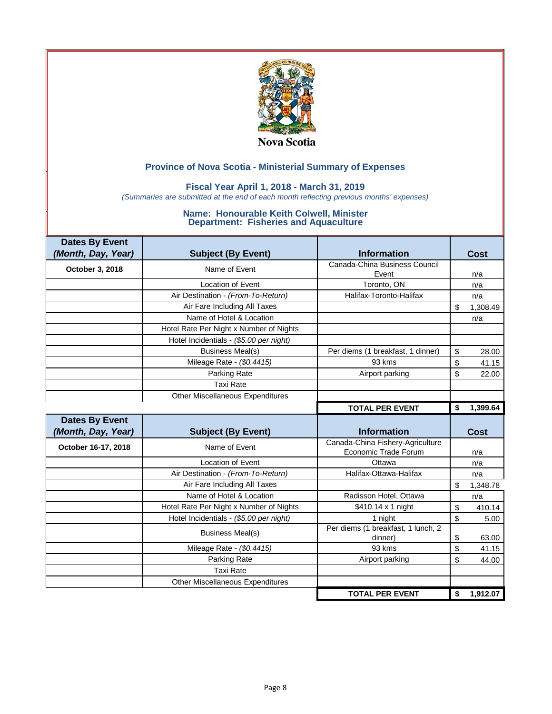

### **Fiscal Year April 1, 2018 - March 31, 2019**

*(Summaries are submitted at the end of each month reflecting previous months' expenses)*

| <b>Dates By Event</b> |                                         |                                               |                |
|-----------------------|-----------------------------------------|-----------------------------------------------|----------------|
| (Month, Day, Year)    | <b>Subject (By Event)</b>               | <b>Information</b>                            | Cost           |
| October 3, 2018       | Name of Event                           | Canada-China Business Council                 |                |
|                       |                                         | Event                                         | n/a            |
|                       | <b>Location of Event</b>                | Toronto, ON                                   | n/a            |
|                       | Air Destination - (From-To-Return)      | Halifax-Toronto-Halifax                       | n/a            |
|                       | Air Fare Including All Taxes            |                                               | \$<br>1,308.49 |
|                       | Name of Hotel & Location                |                                               | n/a            |
|                       | Hotel Rate Per Night x Number of Nights |                                               |                |
|                       | Hotel Incidentials - (\$5.00 per night) |                                               |                |
|                       | <b>Business Meal(s)</b>                 | Per diems (1 breakfast, 1 dinner)             | \$<br>28.00    |
|                       | Mileage Rate - (\$0.4415)               | 93 kms                                        | \$<br>41.15    |
|                       | Parking Rate                            | Airport parking                               | \$<br>22.00    |
|                       | <b>Taxi Rate</b>                        |                                               |                |
|                       | Other Miscellaneous Expenditures        |                                               |                |
|                       |                                         | <b>TOTAL PER EVENT</b>                        | \$<br>1,399.64 |
|                       |                                         |                                               |                |
| <b>Dates By Event</b> |                                         |                                               |                |
| (Month, Day, Year)    | <b>Subject (By Event)</b>               | <b>Information</b>                            | <b>Cost</b>    |
|                       | Name of Event                           | Canada-China Fishery-Agriculture              |                |
| October 16-17, 2018   |                                         | Economic Trade Forum                          | n/a            |
|                       | Location of Event                       | Ottawa                                        | n/a            |
|                       | Air Destination - (From-To-Return)      | Halifax-Ottawa-Halifax                        | n/a            |
|                       | Air Fare Including All Taxes            |                                               | \$<br>1,348.78 |
|                       | Name of Hotel & Location                | Radisson Hotel, Ottawa                        | n/a            |
|                       | Hotel Rate Per Night x Number of Nights | \$410.14 x 1 night                            | \$             |
|                       | Hotel Incidentials - (\$5.00 per night) | 1 night                                       | \$<br>5.00     |
|                       | <b>Business Meal(s)</b>                 | Per diems (1 breakfast, 1 lunch, 2<br>dinner) | \$<br>63.00    |
|                       | Mileage Rate - (\$0.4415)               | 93 kms                                        | \$<br>41.15    |
|                       | Parking Rate                            | Airport parking                               | \$<br>44.00    |
|                       | <b>Taxi Rate</b>                        |                                               |                |
|                       | <b>Other Miscellaneous Expenditures</b> |                                               | 410.14         |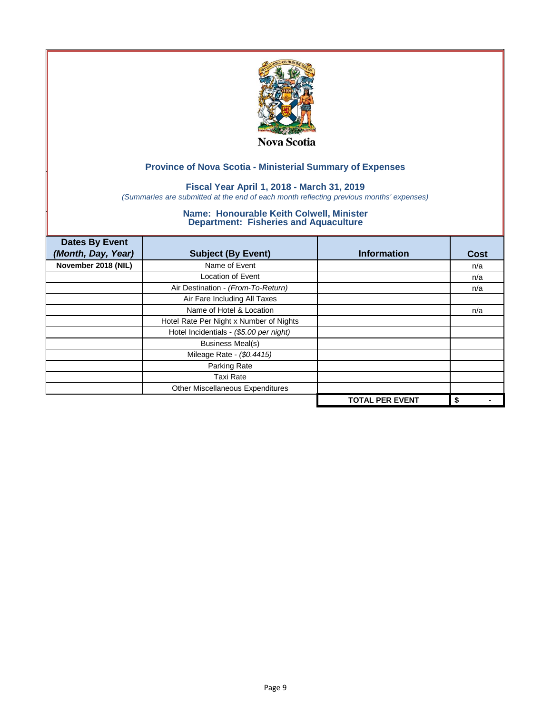

### **Fiscal Year April 1, 2018 - March 31, 2019**

*(Summaries are submitted at the end of each month reflecting previous months' expenses)*

| <b>Dates By Event</b> |                                         |                        |             |
|-----------------------|-----------------------------------------|------------------------|-------------|
| (Month, Day, Year)    | <b>Subject (By Event)</b>               | <b>Information</b>     | <b>Cost</b> |
| November 2018 (NIL)   | Name of Event                           |                        | n/a         |
|                       | <b>Location of Event</b>                |                        | n/a         |
|                       | Air Destination - (From-To-Return)      |                        | n/a         |
|                       | Air Fare Including All Taxes            |                        |             |
|                       | Name of Hotel & Location                |                        | n/a         |
|                       | Hotel Rate Per Night x Number of Nights |                        |             |
|                       | Hotel Incidentials - (\$5.00 per night) |                        |             |
|                       | <b>Business Meal(s)</b>                 |                        |             |
|                       | Mileage Rate - (\$0.4415)               |                        |             |
|                       | Parking Rate                            |                        |             |
|                       | Taxi Rate                               |                        |             |
|                       | Other Miscellaneous Expenditures        |                        |             |
|                       |                                         | <b>TOTAL PER EVENT</b> | \$          |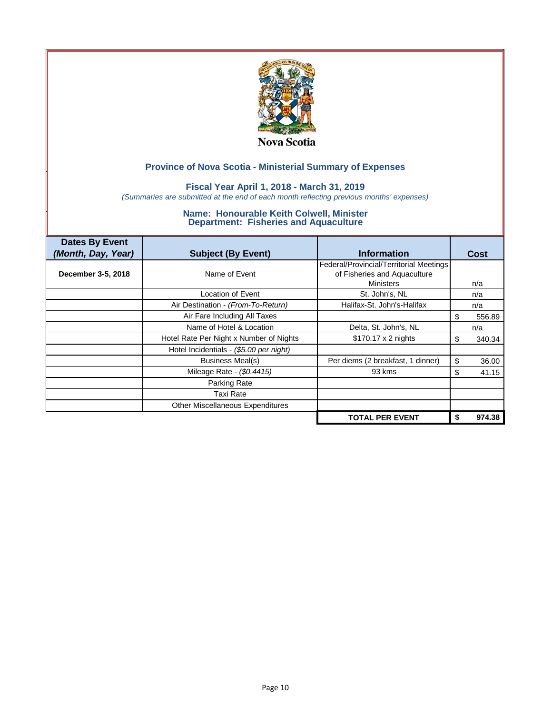

### **Fiscal Year April 1, 2018 - March 31, 2019**

*(Summaries are submitted at the end of each month reflecting previous months' expenses)*

| <b>Dates By Event</b><br>(Month, Day, Year) | <b>Subject (By Event)</b>               | <b>Information</b>                                                      | <b>Cost</b> |
|---------------------------------------------|-----------------------------------------|-------------------------------------------------------------------------|-------------|
| December 3-5, 2018                          | Name of Event                           | Federal/Provincial/Territorial Meetings<br>of Fisheries and Aquaculture |             |
|                                             |                                         | <b>Ministers</b>                                                        | n/a         |
|                                             | Location of Event                       | St. John's, NL                                                          | n/a         |
|                                             | Air Destination - (From-To-Return)      | Halifax-St. John's-Halifax                                              | n/a         |
|                                             | Air Fare Including All Taxes            |                                                                         | 556.89<br>S |
|                                             | Name of Hotel & Location                | Delta, St. John's, NL                                                   | n/a         |
|                                             | Hotel Rate Per Night x Number of Nights | \$170.17 x 2 nights                                                     | 340.34<br>S |
|                                             | Hotel Incidentials - (\$5.00 per night) |                                                                         |             |
|                                             | <b>Business Meal(s)</b>                 | Per diems (2 breakfast, 1 dinner)                                       | \$<br>36.00 |
|                                             | Mileage Rate - (\$0.4415)               | 93 kms                                                                  | 41.15<br>S  |
|                                             | Parking Rate                            |                                                                         |             |
|                                             | Taxi Rate                               |                                                                         |             |
|                                             | <b>Other Miscellaneous Expenditures</b> |                                                                         |             |
|                                             |                                         | <b>TOTAL PER EVENT</b>                                                  | 974.38      |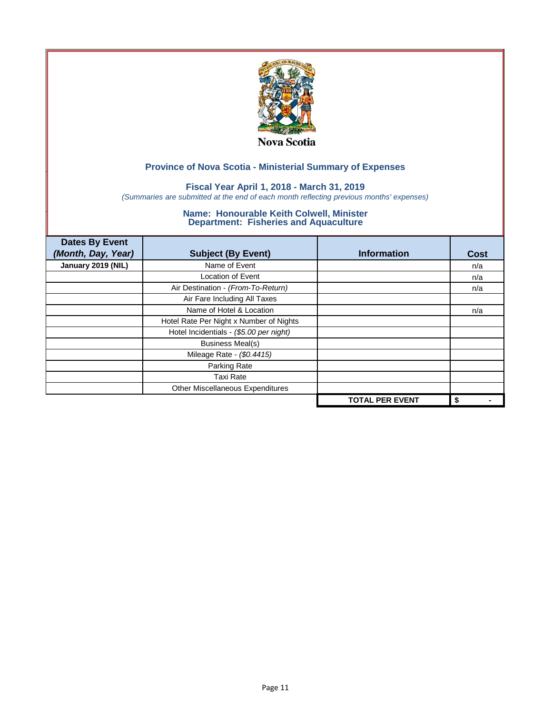

### **Fiscal Year April 1, 2018 - March 31, 2019**

*(Summaries are submitted at the end of each month reflecting previous months' expenses)*

| <b>Dates By Event</b> |                                         |                        |             |
|-----------------------|-----------------------------------------|------------------------|-------------|
| (Month, Day, Year)    | <b>Subject (By Event)</b>               | <b>Information</b>     | <b>Cost</b> |
| January 2019 (NIL)    | Name of Event                           |                        | n/a         |
|                       | <b>Location of Event</b>                |                        | n/a         |
|                       | Air Destination - (From-To-Return)      |                        | n/a         |
|                       | Air Fare Including All Taxes            |                        |             |
|                       | Name of Hotel & Location                |                        | n/a         |
|                       | Hotel Rate Per Night x Number of Nights |                        |             |
|                       | Hotel Incidentials - (\$5.00 per night) |                        |             |
|                       | <b>Business Meal(s)</b>                 |                        |             |
|                       | Mileage Rate - (\$0.4415)               |                        |             |
|                       | Parking Rate                            |                        |             |
|                       | Taxi Rate                               |                        |             |
|                       | Other Miscellaneous Expenditures        |                        |             |
|                       |                                         | <b>TOTAL PER EVENT</b> | \$          |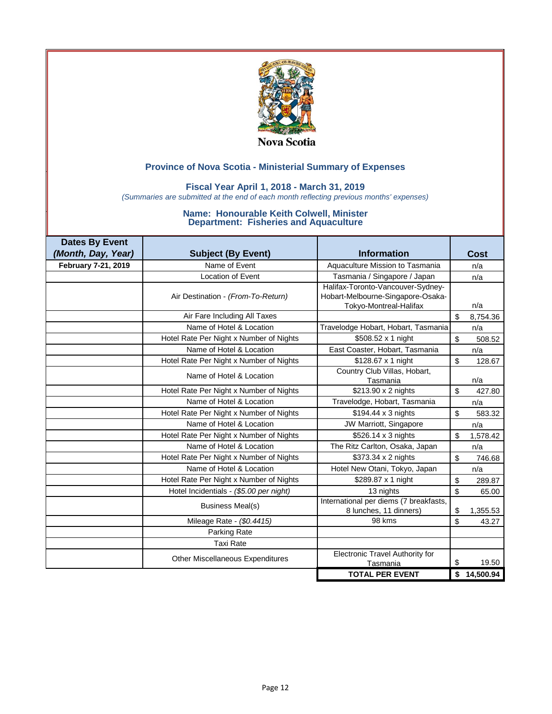

### **Fiscal Year April 1, 2018 - March 31, 2019**

*(Summaries are submitted at the end of each month reflecting previous months' expenses)*

| <b>Dates By Event</b> |                                         |                                                                                                  |                          |
|-----------------------|-----------------------------------------|--------------------------------------------------------------------------------------------------|--------------------------|
| (Month, Day, Year)    | <b>Subject (By Event)</b>               | <b>Information</b>                                                                               | Cost                     |
| February 7-21, 2019   | Name of Event                           | Aquaculture Mission to Tasmania                                                                  | n/a                      |
|                       | Location of Event                       | Tasmania / Singapore / Japan                                                                     | n/a                      |
|                       | Air Destination - (From-To-Return)      | Halifax-Toronto-Vancouver-Sydney-<br>Hobart-Melbourne-Singapore-Osaka-<br>Tokyo-Montreal-Halifax | n/a                      |
|                       | Air Fare Including All Taxes            |                                                                                                  | \$<br>8,754.36           |
|                       | Name of Hotel & Location                | Travelodge Hobart, Hobart, Tasmania                                                              | n/a                      |
|                       | Hotel Rate Per Night x Number of Nights | \$508.52 x 1 night                                                                               | $\mathfrak{s}$<br>508.52 |
|                       | Name of Hotel & Location                | East Coaster, Hobart, Tasmania                                                                   | n/a                      |
|                       | Hotel Rate Per Night x Number of Nights | \$128.67 x 1 night                                                                               | \$<br>128.67             |
|                       | Name of Hotel & Location                | Country Club Villas, Hobart,<br>Tasmania                                                         | n/a                      |
|                       | Hotel Rate Per Night x Number of Nights | \$213.90 x 2 nights                                                                              | \$<br>427.80             |
|                       | Name of Hotel & Location                | Travelodge, Hobart, Tasmania                                                                     | n/a                      |
|                       | Hotel Rate Per Night x Number of Nights | \$194.44 x 3 nights                                                                              | \$<br>583.32             |
|                       | Name of Hotel & Location                | JW Marriott, Singapore                                                                           | n/a                      |
|                       | Hotel Rate Per Night x Number of Nights | \$526.14 x 3 nights                                                                              | \$<br>1,578.42           |
|                       | Name of Hotel & Location                | The Ritz Carlton, Osaka, Japan                                                                   | n/a                      |
|                       | Hotel Rate Per Night x Number of Nights | \$373.34 x 2 nights                                                                              | $\mathfrak{s}$<br>746.68 |
|                       | Name of Hotel & Location                | Hotel New Otani, Tokyo, Japan                                                                    | n/a                      |
|                       | Hotel Rate Per Night x Number of Nights | \$289.87 x 1 night                                                                               | \$<br>289.87             |
|                       | Hotel Incidentials - (\$5.00 per night) | 13 nights                                                                                        | \$<br>65.00              |
|                       | <b>Business Meal(s)</b>                 | International per diems (7 breakfasts,<br>8 lunches, 11 dinners)                                 | \$<br>1,355.53           |
|                       | Mileage Rate - (\$0.4415)               | 98 kms                                                                                           | \$<br>43.27              |
|                       | Parking Rate                            |                                                                                                  |                          |
|                       | <b>Taxi Rate</b>                        |                                                                                                  |                          |
|                       | <b>Other Miscellaneous Expenditures</b> | Electronic Travel Authority for<br>Tasmania                                                      | \$<br>19.50              |
|                       |                                         | <b>TOTAL PER EVENT</b>                                                                           | \$<br>14,500.94          |